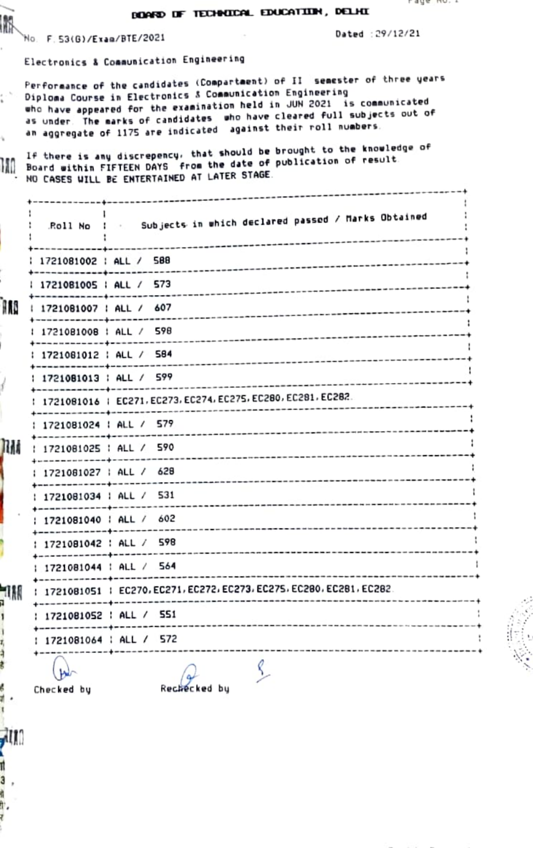## BOARD OF TECHNICAL EDUCATION, DELHI

No. F. 53(G)/Exam/BTE/2021

IN

ı,

Ì

7

开导

à

ę

₫.

AU.

ıl З, ğ ħ, ŧ

Dated : 29/12/21

Electronics & Communication Engineering

Performance of the candidates (Compartment) of II semester of three years Diploma Course in Electronics & Communication Engineering in.<br>D who have appeared for the examination held in JUN 2021 is communicated as under. The marks of candidates who have cleared full subjects out of an aggregate of 1175 are indicated against their roll numbers.

If there is any discrepency, that should be brought to the knowledge of If there is any discrepency, that should be publication of result. NO CASES WILL BE ENTERTAINED AT LATER STAGE.

|    | Roll No !                              | Subjects in which declared passed / Marks Obtained                      |  |
|----|----------------------------------------|-------------------------------------------------------------------------|--|
|    | 1721081002   ALL / 588<br>. <b>.</b> . |                                                                         |  |
|    | 1721081005   ALL / 573<br>-----------  |                                                                         |  |
| ß  | 1721081007   ALL / 607                 |                                                                         |  |
|    | 1721081008   ALL / 598                 |                                                                         |  |
|    | 1721081012   ALL / 584                 |                                                                         |  |
|    |                                        | 1721081013   ALL / 599<br>--------------------------------------        |  |
|    |                                        | 1721081016   EC271, EC273, EC274, EC275, EC280, EC281, EC282.           |  |
|    | : 1721081024 : ALL / 579               |                                                                         |  |
| M  | : 1721081025 : ALL / 590               |                                                                         |  |
|    |                                        | 1721081027   ALL / 628                                                  |  |
|    | : 1721081034 : ALL / 531               |                                                                         |  |
|    | : 1721081040 : ALL / 602               |                                                                         |  |
|    |                                        | 1721081042 : ALL / 598                                                  |  |
|    |                                        | 1721081044   ALL / 564                                                  |  |
| IM |                                        | 1721081051 : EC270, EC271, EC272, EC273, EC275, EC280, EC281, EC282.    |  |
|    |                                        | 1721081052 : ALL / 551                                                  |  |
|    |                                        | -------- <del>-------------------------</del><br>1721081064 : ALL / 572 |  |
|    | b                                      | $\Delta$                                                                |  |

 $\ddot{\phantom{a}}$ 

Checked by

Rechecked by